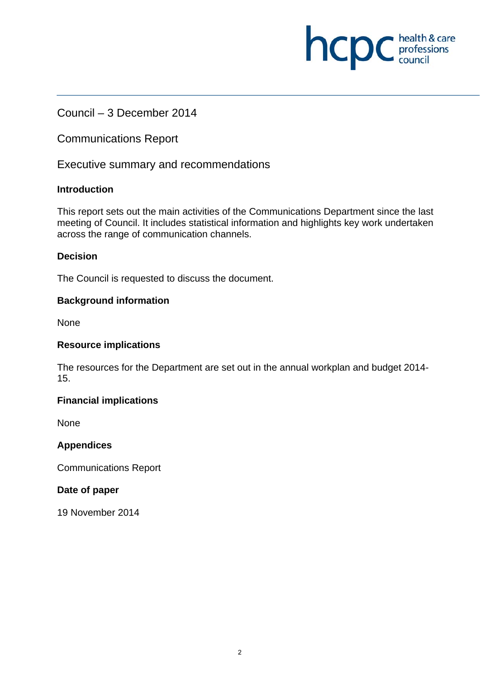# Council – 3 December 2014

Communications Report

Executive summary and recommendations

#### **Introduction**

This report sets out the main activities of the Communications Department since the last meeting of Council. It includes statistical information and highlights key work undertaken across the range of communication channels.

**NCDC** health & care

#### **Decision**

The Council is requested to discuss the document.

#### **Background information**

None

#### **Resource implications**

The resources for the Department are set out in the annual workplan and budget 2014- 15.

#### **Financial implications**

**None** 

#### **Appendices**

Communications Report

#### **Date of paper**

19 November 2014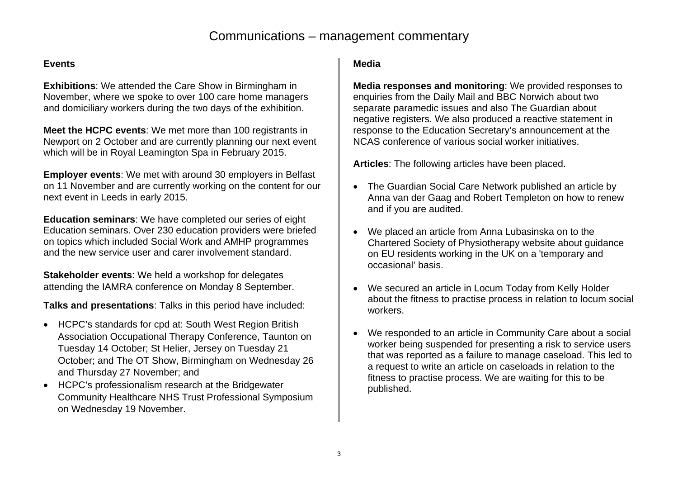# Communications – management commentary

#### **Events**

**Exhibitions**: We attended the Care Show in Birmingham in November, where we spoke to over 100 care home managers and domiciliary workers during the two days of the exhibition.

**Meet the HCPC events:** We met more than 100 registrants in Newport on 2 October and are currently planning our next event which will be in Royal Leamington Spa in February 2015.

**Employer events**: We met with around 30 employers in Belfast on 11 November and are currently working on the content for our next event in Leeds in early 2015.

**Education seminars**: We have completed our series of eight Education seminars. Over 230 education providers were briefed on topics which included Social Work and AMHP programmes and the new service user and carer involvement standard.

**Stakeholder events**: We held a workshop for delegates attending the IAMRA conference on Monday 8 September.

**Talks and presentations**: Talks in this period have included:

- HCPC's standards for cpd at: South West Region British Association Occupational Therapy Conference, Taunton on Tuesday 14 October; St Helier, Jersey on Tuesday 21 October; and The OT Show, Birmingham on Wednesday 26 and Thursday 27 November; and
- HCPC's professionalism research at the Bridgewater Community Healthcare NHS Trust Professional Symposium on Wednesday 19 November.

## **Media**

**Media responses and monitoring**: We provided responses to enquiries from the Daily Mail and BBC Norwich about two separate paramedic issues and also The Guardian about negative registers. We also produced a reactive statement in response to the Education Secretary's announcement at the NCAS conference of various social worker initiatives.

**Articles**: The following articles have been placed.

- The Guardian Social Care Network published an article by Anna van der Gaag and Robert Templeton on how to renew and if you are audited.
- We placed an article from Anna Lubasinska on to the Chartered Society of Physiotherapy website about guidance on EU residents working in the UK on a 'temporary and occasional' basis.
- We secured an article in Locum Today from Kelly Holder about the fitness to practise process in relation to locum social workers.
- We responded to an article in Community Care about a social worker being suspended for presenting a risk to service users that was reported as a failure to manage caseload. This led to a request to write an article on caseloads in relation to the fitness to practise process. We are waiting for this to be published.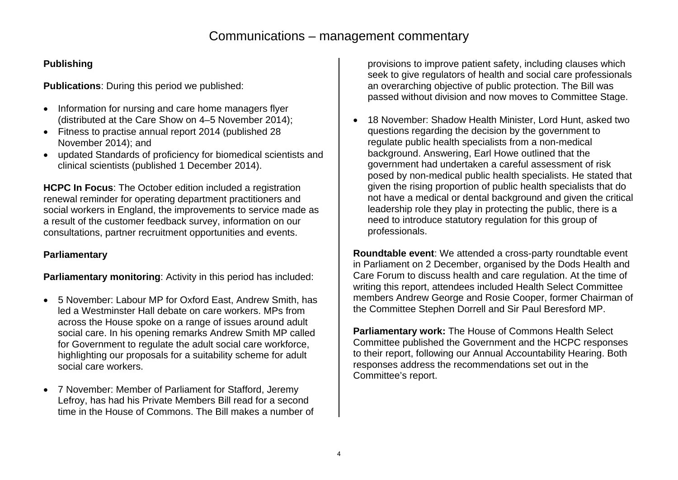## **Publishing**

**Publications**: During this period we published:

- Information for nursing and care home managers flyer (distributed at the Care Show on 4–5 November 2014);
- Fitness to practise annual report 2014 (published 28 November 2014); and
- updated Standards of proficiency for biomedical scientists and clinical scientists (published 1 December 2014).

**HCPC In Focus**: The October edition included a registration renewal reminder for operating department practitioners and social workers in England, the improvements to service made as a result of the customer feedback survey, information on our consultations, partner recruitment opportunities and events.

## **Parliamentary**

**Parliamentary monitoring**: Activity in this period has included:

- 5 November: Labour MP for Oxford East, Andrew Smith, has led a Westminster Hall debate on care workers. MPs from across the House spoke on a range of issues around adult social care. In his opening remarks Andrew Smith MP called for Government to regulate the adult social care workforce, highlighting our proposals for a suitability scheme for adult social care workers.
- 7 November: Member of Parliament for Stafford, Jeremy Lefroy, has had his Private Members Bill read for a second time in the House of Commons. The Bill makes a number of

provisions to improve patient safety, including clauses which seek to give regulators of health and social care professionals an overarching objective of public protection. The Bill was passed without division and now moves to Committee Stage.

• 18 November: Shadow Health Minister, Lord Hunt, asked two questions regarding the decision by the government to regulate public health specialists from a non-medical background. Answering, Earl Howe outlined that the government had undertaken a careful assessment of risk posed by non-medical public health specialists. He stated that given the rising proportion of public health specialists that do not have a medical or dental background and given the critical leadership role they play in protecting the public, there is a need to introduce statutory regulation for this group of professionals.

**Roundtable event**: We attended a cross-party roundtable event in Parliament on 2 December, organised by the Dods Health and Care Forum to discuss health and care regulation. At the time of writing this report, attendees included Health Select Committee members Andrew George and Rosie Cooper, former Chairman of the Committee Stephen Dorrell and Sir Paul Beresford MP.

**Parliamentary work:** The House of Commons Health Select Committee published the Government and the HCPC responses to their report, following our Annual Accountability Hearing. Both responses address the recommendations set out in the Committee's report.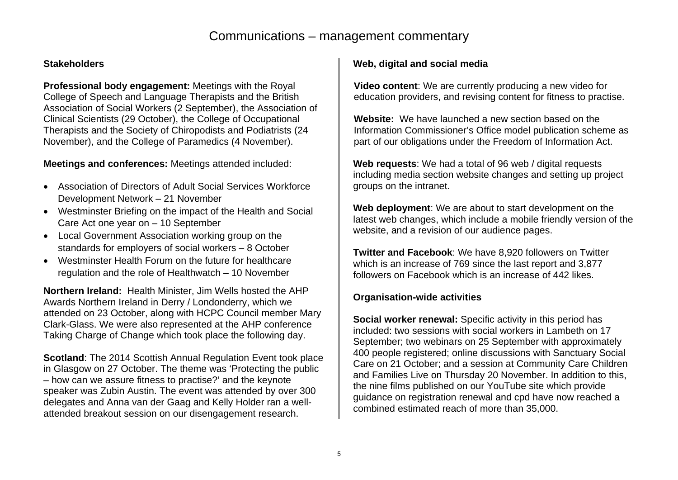# Communications – management commentary

#### **Stakeholders**

**Professional body engagement:** Meetings with the Royal College of Speech and Language Therapists and the British Association of Social Workers (2 September), the Association of Clinical Scientists (29 October), the College of Occupational Therapists and the Society of Chiropodists and Podiatrists (24 November), and the College of Paramedics (4 November).

#### **Meetings and conferences:** Meetings attended included:

- Association of Directors of Adult Social Services Workforce Development Network – 21 November
- Westminster Briefing on the impact of the Health and Social Care Act one year on – 10 September
- Local Government Association working group on the standards for employers of social workers – 8 October
- Westminster Health Forum on the future for healthcare regulation and the role of Healthwatch – 10 November

**Northern Ireland:** Health Minister, Jim Wells hosted the AHP Awards Northern Ireland in Derry / Londonderry, which we attended on 23 October, along with HCPC Council member Mary Clark-Glass. We were also represented at the AHP conference Taking Charge of Change which took place the following day.

**Scotland**: The 2014 Scottish Annual Regulation Event took place in Glasgow on 27 October. The theme was 'Protecting the public – how can we assure fitness to practise?' and the keynote speaker was Zubin Austin. The event was attended by over 300 delegates and Anna van der Gaag and Kelly Holder ran a wellattended breakout session on our disengagement research.

#### **Web, digital and social media**

**Video content**: We are currently producing a new video for education providers, and revising content for fitness to practise.

**Website:** We have launched a new section based on the Information Commissioner's Office model publication scheme as part of our obligations under the Freedom of Information Act.

**Web requests**: We had a total of 96 web / digital requests including media section website changes and setting up project groups on the intranet.

**Web deployment**: We are about to start development on the latest web changes, which include a mobile friendly version of the website, and a revision of our audience pages.

**Twitter and Facebook**: We have 8,920 followers on Twitter which is an increase of 769 since the last report and 3,877 followers on Facebook which is an increase of 442 likes.

#### **Organisation-wide activities**

**Social worker renewal:** Specific activity in this period has included: two sessions with social workers in Lambeth on 17 September; two webinars on 25 September with approximately 400 people registered; online discussions with Sanctuary Social Care on 21 October; and a session at Community Care Children and Families Live on Thursday 20 November. In addition to this, the nine films published on our YouTube site which provide guidance on registration renewal and cpd have now reached a combined estimated reach of more than 35,000.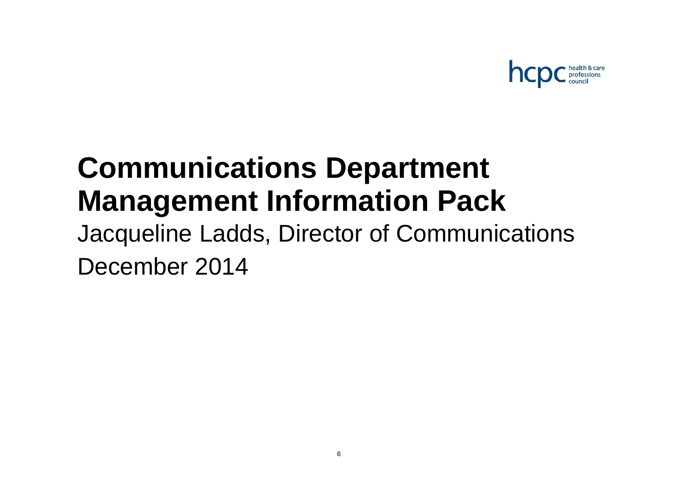

# **Communications Department Management Information Pack**

Jacqueline Ladds, Director of Communications December 2014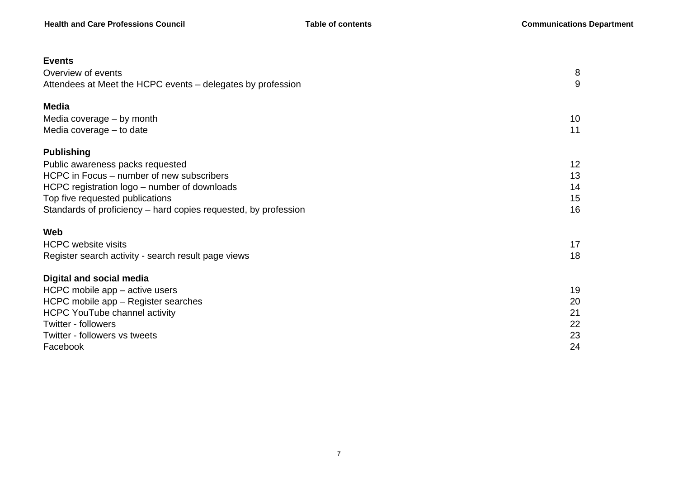| <b>Events</b>                                                   |    |
|-----------------------------------------------------------------|----|
| Overview of events                                              | 8  |
| Attendees at Meet the HCPC events - delegates by profession     | 9  |
| <b>Media</b>                                                    |    |
| Media coverage - by month                                       | 10 |
| Media coverage - to date                                        | 11 |
| <b>Publishing</b>                                               |    |
| Public awareness packs requested                                | 12 |
| HCPC in Focus – number of new subscribers                       | 13 |
| HCPC registration logo – number of downloads                    | 14 |
| Top five requested publications                                 | 15 |
| Standards of proficiency - hard copies requested, by profession | 16 |
| Web                                                             |    |
| <b>HCPC website visits</b>                                      | 17 |
| Register search activity - search result page views             | 18 |
| <b>Digital and social media</b>                                 |    |
| HCPC mobile app - active users                                  | 19 |
| HCPC mobile app - Register searches                             | 20 |
| <b>HCPC YouTube channel activity</b>                            | 21 |
| Twitter - followers                                             | 22 |
| Twitter - followers vs tweets                                   | 23 |
| Facebook                                                        | 24 |
|                                                                 |    |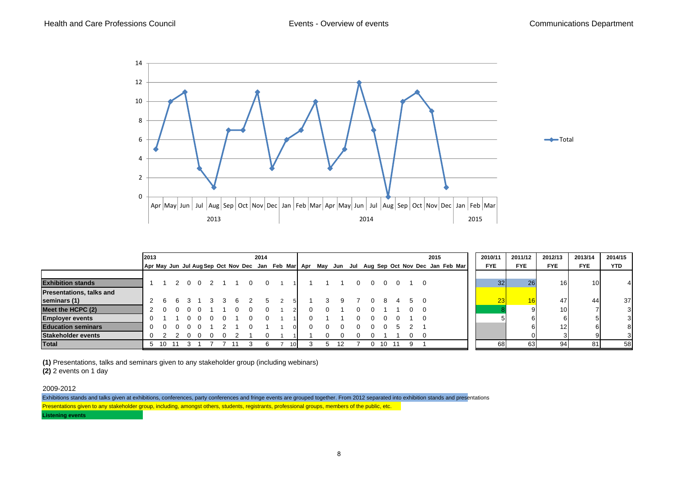

|                                 | 2013     |     |  |                     |   |                | 2014           |                 |  |    |  |   |    |    |                | 2015                                                                                            | 2010/11    | 2011/12    | 2012/13         | 2013/14         | 2014/15    |
|---------------------------------|----------|-----|--|---------------------|---|----------------|----------------|-----------------|--|----|--|---|----|----|----------------|-------------------------------------------------------------------------------------------------|------------|------------|-----------------|-----------------|------------|
|                                 |          |     |  |                     |   |                |                |                 |  |    |  |   |    |    |                | Apr May Jun Jul Aug Sep Oct Nov Dec Jan Feb Mar Apr May Jun Jul Aug Sep Oct Nov Dec Jan Feb Mar | <b>FYE</b> | <b>FYE</b> | <b>FYE</b>      | <b>FYE</b>      | <b>YTD</b> |
|                                 |          |     |  |                     |   |                |                |                 |  |    |  |   |    |    |                |                                                                                                 |            |            |                 |                 |            |
| <b>Exhibition stands</b>        |          |     |  | $0 \quad 0 \quad 2$ |   | $\overline{0}$ | $\overline{0}$ |                 |  |    |  |   |    |    | - 0            |                                                                                                 | 32         | 26         | 16              | 10 <sup>1</sup> | 4          |
| <b>Presentations, talks and</b> |          |     |  |                     |   |                |                |                 |  |    |  |   |    |    |                |                                                                                                 |            |            |                 |                 |            |
| seminars (1)                    |          |     |  |                     | 6 |                |                |                 |  |    |  |   |    |    | $\overline{0}$ |                                                                                                 | 23         | 16         | 47              | 44              | 37         |
| Meet the HCPC (2)               |          |     |  |                     |   |                |                |                 |  |    |  |   |    |    |                |                                                                                                 |            |            | 10 <sup>1</sup> |                 | 3          |
| <b>Employer events</b>          |          |     |  |                     |   |                |                |                 |  |    |  |   |    |    | - 0            |                                                                                                 |            |            |                 |                 | 3          |
| <b>Education seminars</b>       | $\Omega$ |     |  |                     |   |                |                |                 |  |    |  |   |    |    |                |                                                                                                 |            |            | 12              |                 | 8          |
| Stakeholder events              |          |     |  |                     |   |                |                |                 |  |    |  |   |    |    |                |                                                                                                 |            |            |                 |                 |            |
| Total                           |          | -10 |  |                     |   |                |                | 10 <sup>1</sup> |  | 12 |  | 0 | 10 | 11 |                |                                                                                                 | 68         | 63         | 94              | 81              | 58         |

**(1)** Presentations, talks and seminars given to any stakeholder group (including webinars)

**(2)** 2 events on 1 day

2009-2012

Exhibitions stands and talks given at exhibitions, conferences, party conferences and fringe events are grouped together. From 2012 separated into exhibition stands and presentations Presentations given to any stakeholder group, including, amongst others, students, registrants, professional groups, members of the public, etc.

**Listening events**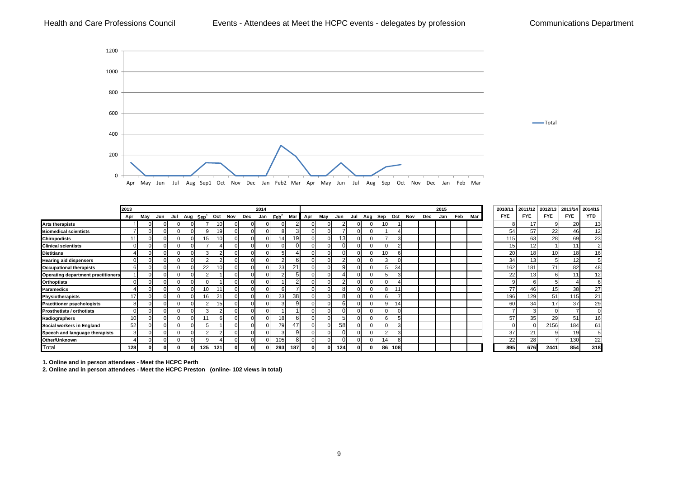#### Health and Care Professions Council **Events - Attendees at Meet the HCPC events - delegates by profession** Communications Department



|                                           | 2013            |     |     |                          |                 |                 |     |                | 2014         |                  |                 |          |     |     |     |          |     |        |     |     | 2015 |     |     | 2010/11    | 2011/12     | 2012/13         | 2013/14    | 2014/15        |
|-------------------------------------------|-----------------|-----|-----|--------------------------|-----------------|-----------------|-----|----------------|--------------|------------------|-----------------|----------|-----|-----|-----|----------|-----|--------|-----|-----|------|-----|-----|------------|-------------|-----------------|------------|----------------|
|                                           | Apr             | May | Jun | Jul Aug Sep <sup>1</sup> |                 | Oct             | Nov | Dec            | Jan          | $\mathsf{Feb}^2$ | Mar I           | Apr      | May | Jun | Jul | Aug      | Sep | Oct    | Nov | Dec | Jan  | Feb | Mar | <b>FYE</b> | <b>FYE</b>  | <b>FYE</b>      | <b>FYE</b> | <b>YTD</b>     |
| <b>Arts therapists</b>                    |                 |     |     |                          |                 | 10              |     | $\Omega$       | $\Omega$     |                  |                 |          |     |     |     |          | 10  |        |     |     |      |     |     |            | 17          |                 | 20         | 13             |
| <b>Biomedical scientists</b>              |                 |     |     |                          |                 | 19              |     | $\Omega$       | $\Omega$     |                  | ົ<br>5          |          |     |     |     |          |     |        |     |     |      |     |     | 54         | 57          | 22              | 46         | 12             |
| <b>Chiropodists</b>                       |                 |     |     |                          | 15              | 10              |     | $\Omega$       | $\Omega$     | 14.              | 19 <sup>l</sup> |          |     | 13  |     |          |     |        |     |     |      |     |     | 115        | 63          | 28              | 69         | 23             |
| <b>Clinical scientists</b>                |                 |     |     |                          |                 |                 |     | $\Omega$       | $\Omega$     |                  | $\Omega$        |          |     |     |     |          |     |        |     |     |      |     |     | 15         | 12          |                 |            | $\overline{2}$ |
| <b>Dietitians</b>                         |                 |     |     |                          |                 |                 |     | $\Omega$       | $\Omega$     |                  |                 |          |     |     |     |          | 10  |        |     |     |      |     |     | 20         | 18          | 10 <sup>1</sup> | 18         | 16             |
| <b>Hearing aid dispensers</b>             |                 |     |     |                          |                 |                 |     | $\Omega$       | $\Omega$     |                  | 6               |          |     |     |     |          |     |        |     |     |      |     |     | 34         | 13          |                 | 12         |                |
| <b>Occupational therapists</b>            | 61              |     |     |                          | 22              | 10 <sub>1</sub> |     | $\mathbf{0}$   | $\Omega$     | 23               | 21              |          |     | 9   |     |          |     | 34     |     |     |      |     |     | 162        | 181         | 71              | 82         | 48             |
| <b>Operating department practitioners</b> |                 |     |     |                          |                 |                 |     | $\Omega$       | $\Omega$     |                  | 5               |          |     |     |     |          |     |        |     |     |      |     |     | 22         | 13          |                 |            | 12             |
| <b>Orthoptists</b>                        |                 |     |     |                          |                 |                 |     | $\mathbf{0}$   | $\Omega$     |                  | $\sqrt{2}$      |          |     |     |     |          |     |        |     |     |      |     |     |            |             |                 |            |                |
| Paramedics                                |                 |     |     |                          | 10 <sub>1</sub> | $\overline{A}$  |     | $\Omega$       | $\Omega$     |                  |                 |          |     | 8   |     |          |     |        |     |     |      |     |     | 77         | 46          | 15 <sub>1</sub> | 38         | 27             |
| Physiotherapists                          |                 |     |     |                          | 16 <sub>1</sub> | 2 <sup>1</sup>  |     | $\Omega$       | $\Omega$     | 23               | 38 <sup>l</sup> |          |     | 8   |     |          |     |        |     |     |      |     |     | 196        | 129         | 51              | 115        | 21             |
| <b>Practitioner psychologists</b>         |                 |     |     |                          |                 | 15              |     | $\Omega$       | $\Omega$     |                  | 9               |          |     | 6   |     |          |     |        |     |     |      |     |     | 60         | 34          | 17              | 37         | 29             |
| <b>Prosthetists / orthotists</b>          |                 |     |     |                          | 3               |                 |     | $\overline{0}$ | $\Omega$     |                  |                 |          |     |     |     |          | 0   |        |     |     |      |     |     |            |             |                 |            |                |
| Radiographers                             | 10 <sup>1</sup> |     |     |                          | 11              |                 |     | $\mathbf{0}$   | $\mathbf{0}$ | 18               | 6               | $\Omega$ |     |     |     | $\Omega$ | 6   |        |     |     |      |     |     | 57         | 35          | 29              | 51         | 16             |
| Social workers in England                 | 52              |     |     |                          |                 |                 |     | $\Omega$       | $\Omega$     | 79               | 47              |          |     | 58  |     |          |     |        |     |     |      |     |     |            |             | 2156            | 184        | 61             |
| Speech and language therapists            |                 |     |     |                          |                 |                 |     | $\Omega$       | $\Omega$     |                  | q               |          |     |     |     |          |     |        |     |     |      |     |     | 37         | $2^{\circ}$ |                 | 19         |                |
| Other/Unknown                             |                 |     |     |                          |                 |                 |     | $\Omega$       | $\Omega$     | 105              | 8               |          |     |     |     |          | 14  |        |     |     |      |     |     | 22         | 28          |                 | 130        | 22             |
| Total                                     | 128             |     |     |                          | 125             | 121             |     | ΩI             |              | 293              | 187             |          |     | 124 |     | 01       |     | 86 108 |     |     |      |     |     | 895        | 676         | 2441            | 854        | 318            |

**1. Online and in person attendees - Meet the HCPC Perth**

**2. Online and in person attendees - Meet the HCPC Preston (online- 102 views in total)**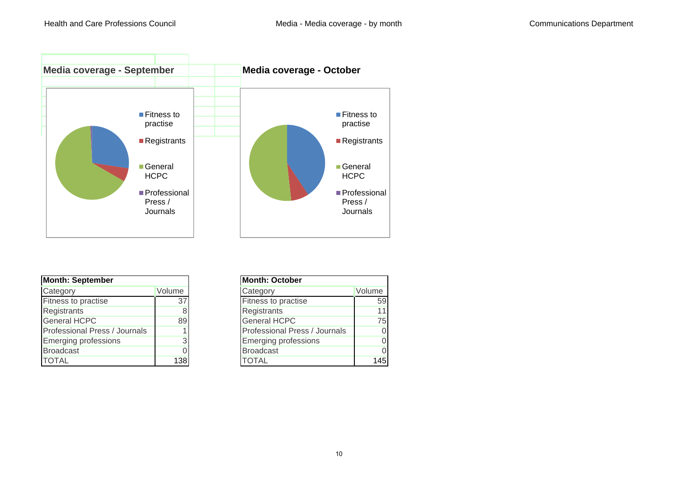

| <b>Month: September</b>       |        | <b>Month: October</b>         |        |
|-------------------------------|--------|-------------------------------|--------|
| Category                      | Volume | Category                      | Volume |
| Fitness to practise           | 37     | Fitness to practise           |        |
| Registrants                   |        | Registrants                   |        |
| <b>General HCPC</b>           | 89     | <b>General HCPC</b>           |        |
| Professional Press / Journals |        | Professional Press / Journals |        |
| <b>Emerging professions</b>   |        | <b>Emerging professions</b>   |        |
| <b>Broadcast</b>              |        | <b>Broadcast</b>              |        |
| <b>TOTAL</b>                  | 138    | <b>TOTAL</b>                  |        |

| า: September             |        |
|--------------------------|--------|
| ory                      | Volume |
| s to practise            | 37     |
| trants                   |        |
| al HCPC                  | 89     |
| ssional Press / Journals |        |
| ging professions         |        |
| cast                     |        |
|                          | 138    |
|                          |        |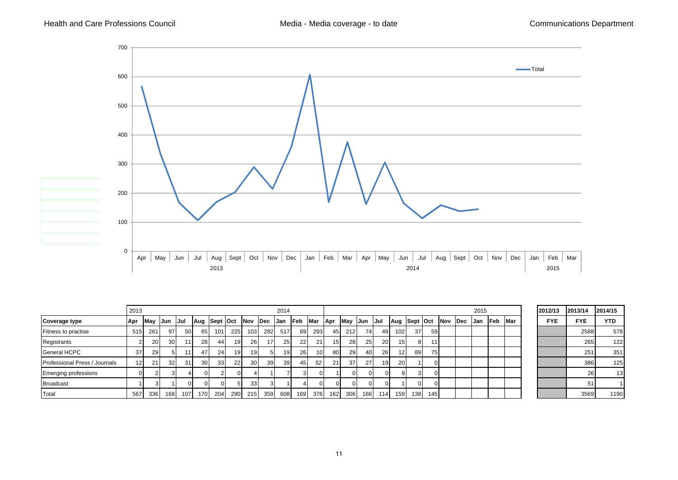

|                               | 2013            |      |                 |            |                 |                 |          |                 |                 | 2014            |            |                 |                  |     |              |        |                 |          |          |             |      | 2015 |       |             | 2012/13    | 2013/14    | 2014/15    |
|-------------------------------|-----------------|------|-----------------|------------|-----------------|-----------------|----------|-----------------|-----------------|-----------------|------------|-----------------|------------------|-----|--------------|--------|-----------------|----------|----------|-------------|------|------|-------|-------------|------------|------------|------------|
| Coverage type                 | Apr             | May  | <b>Jun</b>      | IJul       | Aug Sept Oct    |                 |          | Nov Dec         |                 | IJan            | <b>Feb</b> | Mar             | Apr              | May | <b>IJun</b>  | - IJul | Aug Sept Oct    |          |          | <b>INov</b> | lDec | IJan | lFeb. | <b>IMar</b> | <b>FYE</b> | <b>FYE</b> | <b>YTD</b> |
| Fitness to practise           | 515             | 261  | 97 I            | <b>501</b> | 65              | 101             | 225      | 103             | 292             | 517             | 69 I       | 293             | 45               | 212 | 74 I         | 49     | 102             | 37       | -59 I    |             |      |      |       |             |            | 2588       | 578        |
| Registrants                   |                 | 20   | 30 <sup>l</sup> | 111        | <b>28</b>       | 441             | 19       | <b>26</b>       | 17 <sub>1</sub> | 25 <sup>1</sup> | 22         | 21              | 15 <sup>1</sup>  | 28  | 25           | 20     | 15 <sup>1</sup> | 81       |          |             |      |      |       |             |            | 265        | 122        |
| <b>General HCPC</b>           | 37              | 29 I |                 | 111        | 47              | 24              | 19       | 19 <sup>1</sup> |                 |                 | 26         | 10 <sup>1</sup> | 80 l             | 29  | 40           | 26     | 121             | 89 I     | 75 I     |             |      |      |       |             |            | 25'        | 351        |
| Professional Press / Journals | 12 <sup>1</sup> | 21   | 32 <sup>1</sup> | 31         | 30 <sup>l</sup> | 33 <sup>1</sup> | 22       | 30 <sup>l</sup> | 39              | 39 I            | 45 I       | 52              | 21               | 37  | 27           | 19     | <b>20</b>       |          | $\Omega$ |             |      |      |       |             |            | 386        | 125        |
| <b>Emerging professions</b>   | $\Omega$        |      |                 |            |                 |                 | $\Omega$ |                 |                 |                 | 3          |                 |                  |     |              |        | -91             | 31       |          |             |      |      |       |             |            | 26         | 13         |
| <b>Broadcast</b>              |                 |      |                 |            |                 |                 |          | 33              |                 |                 |            | $\Omega$        | ΩL               |     |              |        |                 | $\Omega$ |          |             |      |      |       |             |            | 5          |            |
| Total                         | 567             | 336  | 168             | 107        | 170             | 204             | 290 l    | 215             | 359             | 608             | 169        | 376             | 162 <sup>1</sup> | 306 | 166 <b>I</b> | 114    | 159             | 138      | 145      |             |      |      |       |             |            | 3569       | 1190       |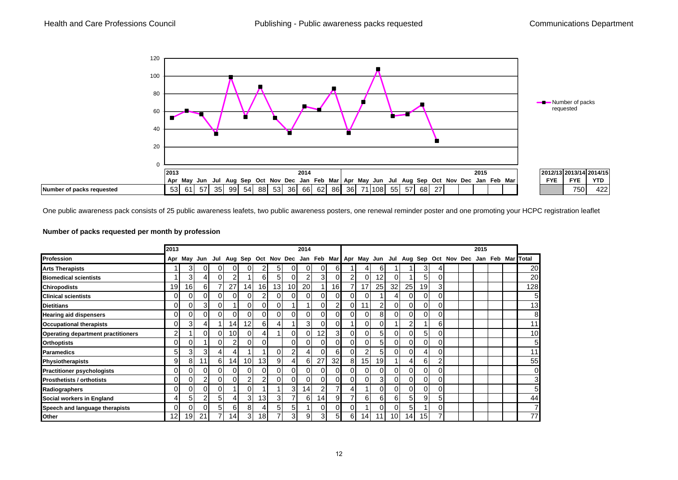

One public awareness pack consists of 25 public awareness leafets, two public awareness posters, one renewal reminder poster and one promoting your HCPC registration leaflet

#### **Number of packs requested per month by profession**

|                                           | 2013            |                 |    |    |                 |                 |                 |                 |    | 2014           |                |                 |          |                 |                 |                 |                 |    |          |  | 2015 |  |                                                                                                   |
|-------------------------------------------|-----------------|-----------------|----|----|-----------------|-----------------|-----------------|-----------------|----|----------------|----------------|-----------------|----------|-----------------|-----------------|-----------------|-----------------|----|----------|--|------|--|---------------------------------------------------------------------------------------------------|
| Profession                                | Apr             |                 |    |    |                 |                 |                 |                 |    |                |                |                 |          |                 |                 |                 |                 |    |          |  |      |  | May Jun Jul Aug Sep Oct Nov Dec Jan Feb Mar Apr May Jun Jul Aug Sep Oct Nov Dec Jan Feb Mar Total |
| <b>Arts Therapists</b>                    |                 | $\overline{3}$  |    | ΩI | $\Omega$        | ΩI              | 2               | 51              | ΩI | $\Omega$       | $\Omega$       | 6               |          |                 | 6               |                 |                 | 3  | 4        |  |      |  | 20                                                                                                |
| <b>Biomedical scientists</b>              |                 | $\overline{3}$  |    | ΩI | $\overline{2}$  |                 | 6               | 51              | 0  | $\mathfrak{p}$ | 3              | 0               | 2        | 0               | 12              | ΩI              |                 |    | 0        |  |      |  | 20                                                                                                |
| <b>Chiropodists</b>                       | 19              | 16 <sub>1</sub> | 61 |    | 27              | 14              | 16 <sup>1</sup> | 13 <sub>1</sub> | 10 | 20             |                | 16 <sub>1</sub> |          | 17              | 25 <sub>l</sub> | 32              | 25              | 19 | 31       |  |      |  | 128                                                                                               |
| <b>Clinical scientists</b>                | 0               | 0               |    | 01 | $\Omega$        | ΩI              | 2               | 01              | ΟI | $\Omega$       | $\Omega$       | 01              |          | ი               |                 |                 | $\Omega$        |    | ٥I       |  |      |  | 5                                                                                                 |
| <b>Dietitians</b>                         | 0               | 0               | 3  | ΩI |                 | ΩI              | 01              |                 |    |                | $\Omega$       | 2               |          |                 | 2               | ΩI              | 0               |    | 0        |  |      |  | 13                                                                                                |
| <b>Hearing aid dispensers</b>             | 0               | 0               |    | 01 | $\Omega$        | 01              | $\Omega$        |                 | ΩI | $\Omega$       | $\Omega$       | ΟI              |          | 0               | 8               | $\Omega$        | $\Omega$        |    | 0        |  |      |  | 8                                                                                                 |
| <b>Occupational therapists</b>            | 0               | 3               |    |    | 14              | 12 <sub>l</sub> | $6 \mid$        | 41              |    | 3 <sup>l</sup> | $\overline{0}$ | $\overline{0}$  |          | 0               | 01              |                 | $\overline{2}$  |    | 61       |  |      |  | 11                                                                                                |
| <b>Operating department practitioners</b> | 2 <sub>1</sub>  |                 |    | ΩI | 10 <sup>1</sup> | $\Omega$        | 41              |                 | ΩI | ΟI             | 12             | 31              | $\Omega$ | ΩI              | 51              | $\Omega$        | 0               | 5. | 0        |  |      |  | 10                                                                                                |
| <b>Orthoptists</b>                        | $\Omega$        | $\Omega$        |    | ΩI | 2               | $\Omega$        | 0               |                 | ΩI | $\Omega$       | $\Omega$       | <sub>0</sub>    |          | 0               | 5 <sub>l</sub>  | $\Omega$        | 0               |    | 0        |  |      |  | 5                                                                                                 |
| <b>Paramedics</b>                         | 5               | 3               | 3  | 41 | 41              |                 |                 | OΙ              | 2۱ | 41             | $\Omega$       | 6               |          | $\overline{2}$  | 5 <sub>l</sub>  | ΩI              | 0               |    | ٥ı       |  |      |  | 11                                                                                                |
| <b>Physiotherapists</b>                   | 9               | 8               | 11 | 6  | 14              | 10 <sup>1</sup> | 13 <sup>l</sup> | 9               | 41 | 61             | 27             | 32 <sub>l</sub> | 8        | 15              | 19 <sup>l</sup> |                 | 4               | 6  | 2        |  |      |  | 55                                                                                                |
| <b>Practitioner psychologists</b>         | 0               | 0               |    | 01 | 0               | 01              | $\Omega$        | 01              | 01 | $\Omega$       | $\Omega$       | 01              |          | 0               | 01              | $\Omega$        | $\Omega$        |    | 0        |  |      |  | 0                                                                                                 |
| <b>Prosthetists / orthotists</b>          | 0               | 0               |    | ΩI | 0               |                 | 2               |                 | ΩI | $\Omega$       | $\Omega$       | 01              |          | 0               | $\mathbf{3}$    | ΩI              | 0               |    | 0        |  |      |  | 3                                                                                                 |
| Radiographers                             | 0               | 01              |    |    |                 |                 |                 |                 | 31 | 14             |                |                 |          |                 | $\Omega$        | ΩI              | 01              |    | 0        |  |      |  | 5                                                                                                 |
| Social workers in England                 | 4               | 5               |    | 51 |                 | 31              | 13              | 3               |    | 61             | 14.            | 9               |          | 6               | 61              | 6               | 5 <sub>l</sub>  |    | 5        |  |      |  | 44                                                                                                |
| Speech and language therapists            | ΩI              | ΩI              |    | 51 | 6               | 8               | 4               |                 | 51 |                | $\Omega$       | 0l              |          |                 | $\Omega$        | ΩI              | 5               |    | $\Omega$ |  |      |  | $\overline{7}$                                                                                    |
| Other                                     | 12 <sub>1</sub> | 19 <sub>l</sub> | 21 |    | 14.             | 3               | 18 <sub>l</sub> |                 | 31 | 9              | 3              | 51              | 6        | 14 <sub>1</sub> | 11              | 10 <sup>1</sup> | 14 <sub>1</sub> | 15 |          |  |      |  | 77                                                                                                |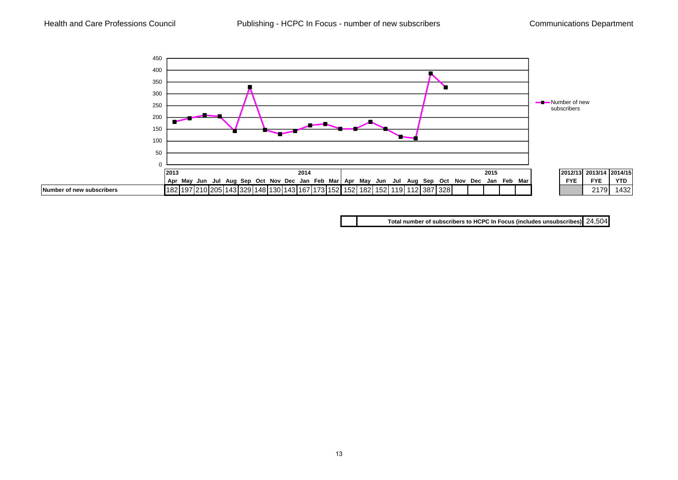

**Total number of subscribers to HCPC In Focus (includes unsubscribes)** 24,504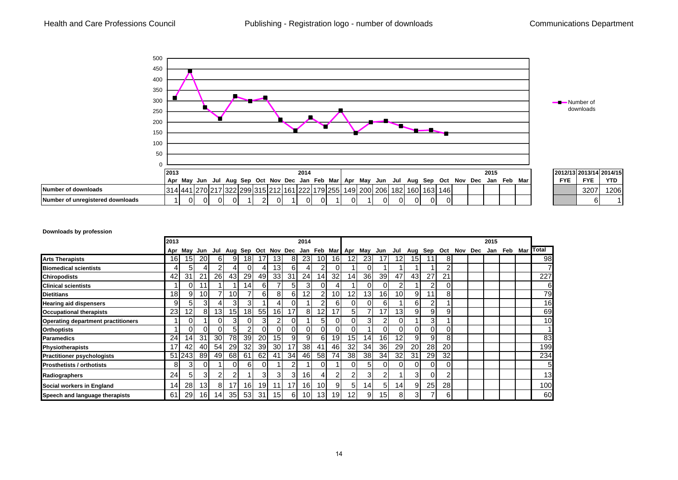

#### **Downloads by profession**

|                                           | 2013            |          |                 |                 |                 |                 |                 |                 |    | 2014            |                 |                 |                                         |                 |                 |                 |                 |                |                |         | 2015 |                   |                 |
|-------------------------------------------|-----------------|----------|-----------------|-----------------|-----------------|-----------------|-----------------|-----------------|----|-----------------|-----------------|-----------------|-----------------------------------------|-----------------|-----------------|-----------------|-----------------|----------------|----------------|---------|------|-------------------|-----------------|
|                                           | Apr             |          | May Jun         |                 |                 |                 |                 |                 |    |                 |                 |                 | Jul Aug Sep Oct Nov Dec Jan Feb Mar Apr |                 | May Jun         | Jul             | Aug Sep         |                | Oct            | Nov Dec |      | Jan Feb Mar Total |                 |
| <b>Arts Therapists</b>                    | 16              | 15       | <b>20</b>       | 61              | 9               | 18 <sub>1</sub> | 17              | 13 <sub>1</sub> | 81 | <b>23</b>       | 10 <sup>1</sup> | 16I             | 12                                      | 23              | 17              | 12              | 15 <sub>l</sub> | 11             | 8              |         |      |                   | 98              |
| <b>Biomedical scientists</b>              |                 | 51       | 4               |                 |                 | Ωl              |                 | 13 <sub>1</sub> | 61 | 4               | 2               | ΩI              |                                         |                 |                 |                 |                 |                | $\overline{2}$ |         |      |                   |                 |
| <b>Chiropodists</b>                       | 42              | 31       | 21              | <b>26</b>       | 43              | 29              | 49              | 33 <sup>1</sup> | 31 | 24              | 14 <sub>l</sub> | 32 <sup>l</sup> | 14                                      | 36              | 39              | 47              | 43 <sub>l</sub> | 27             | 21             |         |      |                   | 227             |
| <b>Clinical scientists</b>                |                 | $\Omega$ | 1               |                 |                 | 14 <sub>1</sub> | 61              |                 | 51 | 3               | $\Omega$        |                 |                                         |                 | $\Omega$        | 2               |                 | 2              | 0              |         |      |                   | 6               |
| <b>Dietitians</b>                         | 18              | 9        | 10 <sup>1</sup> |                 | 10 <sup>1</sup> |                 | 61              | 81              | 61 | 121             | $\overline{2}$  | 10 <sup>1</sup> | 12                                      | 13 <sub>l</sub> | 16 <sup>l</sup> | 10 <sup>1</sup> | 9               | 11             | 8              |         |      |                   | 79              |
| <b>Hearing aid dispensers</b>             | 9               | 51       | 31              |                 | $\overline{3}$  | 3               |                 |                 |    |                 | 2               | 61              | $\Omega$                                | ΩI              | 6               |                 | 61              | 2              |                |         |      |                   | 16              |
| <b>Occupational therapists</b>            | 23              | 12       | 81              | 13 <sup>1</sup> | 15 <sup>1</sup> | 18 <sub>l</sub> | 55              | 16 <sup>1</sup> | 17 | 81              | 12 <sub>l</sub> | 17              | 51                                      |                 | 17 <sub>1</sub> | 13 <sub>1</sub> | 9               | 9              | 9              |         |      |                   | 69              |
| <b>Operating department practitioners</b> |                 | 0        |                 | $\Omega$        | 3               | Οl              | 3               |                 | ΟI |                 | 5               | 0I              | ΩI                                      | 31              | 2               | 0               |                 | 3 <sub>l</sub> |                |         |      |                   | 10 <sup>1</sup> |
| <b>Orthoptists</b>                        |                 | ΩI       | ΩI              | $\Omega$        | 51              | 2               | ΟI              | ΩI              | n١ | 0               | $\overline{0}$  | 0I              | ΩI                                      |                 | $\Omega$        | 0               | ΩI              | 0I             | 0              |         |      |                   |                 |
| <b>Paramedics</b>                         | 24 <sub>1</sub> | 14.      | 31              | 30 <sup>l</sup> | 78              | 39 <sup>°</sup> | 20              | 15 <sub>l</sub> | 9  | 9               | 61              | 19              | 15                                      | 141             | 16 <sup>1</sup> | 12              | 9               | 9              | 8              |         |      |                   | 83              |
| <b>Physiotherapists</b>                   | 17              | 42       | 40              | 54              | 29              | 32              | 39              | 30 <sup>l</sup> | 17 | 38 <sub>l</sub> | 41              | 46              | 32                                      | 34              | 36 <sup>1</sup> | 29              | <b>20</b>       | 28             | 20             |         |      |                   | 199             |
| <b>Practitioner psychologists</b>         |                 | 51 243   | 89              | 49              | 68              | 61              | 62              | 41              | 34 | 46              | 58              | 74              | 38                                      | 38              | 34 <sub>l</sub> | 32              | 31              | 29             | 32             |         |      |                   | 234             |
| <b>Prosthetists / orthotists</b>          | 81              | 31       | ΩI              |                 | ΩI              | 6               | $\Omega$        |                 | 2  |                 | $\Omega$        |                 | ΩI                                      | 51              | $\Omega$        | 0               | ΩI              | 0I             | 0              |         |      |                   | 51              |
| Radiographers                             | 24 <sub>l</sub> | 5        | 3               |                 | 2               |                 | 3               | 31              | 31 | 16 <sub>l</sub> |                 | $\overline{2}$  | 2                                       | 31              | 2               |                 | 31              | 0              | 2              |         |      |                   | 13              |
| Social workers in England                 | 14              | 28       | 13 <sup>l</sup> | 81              | 17              | 16              | 19 <sup>l</sup> | 11              | 17 | 16I             | 10 <sup>1</sup> | 91              | 5                                       | 14              | 51              | 14              | 9               | 25             | 28             |         |      |                   | 100             |
| Speech and language therapists            | 61              | 29       | 16I             | 14I             | 35              | 53              | 31              | 15 <sup>1</sup> | 61 | 10 <sup>1</sup> | 13 <sub>l</sub> | 19 <sub>l</sub> | 12 <sub>l</sub>                         | 9               | 15I             | 8               | 31              |                | 61             |         |      |                   | 60              |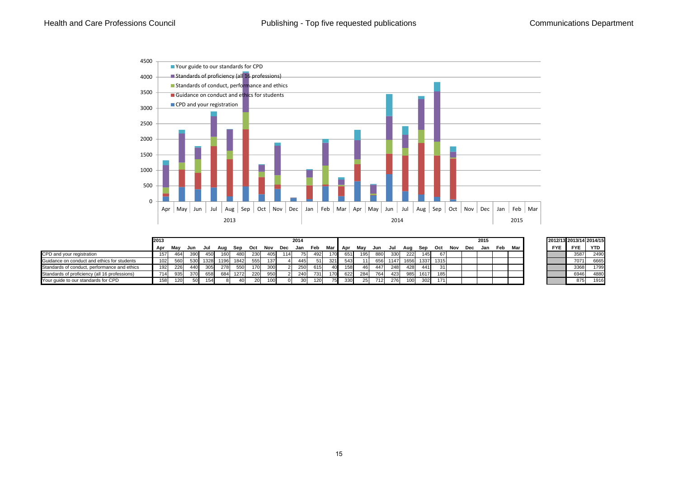

|                                               | 2013 |     |     |      |      |      |     |     |     | 2014       |            |                 |       |      |     |      |      |          |           |     | 2015    |     |     |            | 2012/13 2013/14 2014/15 |            |
|-----------------------------------------------|------|-----|-----|------|------|------|-----|-----|-----|------------|------------|-----------------|-------|------|-----|------|------|----------|-----------|-----|---------|-----|-----|------------|-------------------------|------------|
|                                               | Apr  | Mav | Jun | Jul  | Aua  | Sep  | Oct | Nov | Dec | Jan        | Feb        | Mar             | I Apr | Mav  | Jun | Jul  | Aua  | Sep      | Oct       | Nov | Dec Jan | Feb | Mar | <b>FYE</b> | <b>FYE</b>              | <b>YTD</b> |
| CPD and your registration                     | 157  | 464 | 390 | 450  | 160  | 480  | 230 | 405 | 114 |            | 492        | 170             | 651   | 1951 | 880 | 330  | 222  | 145      | 671       |     |         |     |     |            | 3587                    | 2490       |
| Guidance on conduct and ethics for students   | 102  | 560 | 530 | 1328 | 1196 | 1842 | 555 | 137 |     | 445        | -511       | 321             | 543   | 11   | 656 | 1147 | 1656 |          | 1337 1315 |     |         |     |     |            | 7071                    | 6665       |
| Standards of conduct, performance and ethics  | 192  | 226 | 440 | 305  | 278  | 550  | 170 | 300 |     | 250<br>zou | 615        | 40 <sup>l</sup> | 158   | 461  | 447 | 248  | 428  | 4411     | 31        |     |         |     |     |            | 3368                    | 1799       |
| Standards of proficiency (all 16 professions) | 714  | 935 | 370 | 658  | 684  | 1272 | 220 | 950 |     | 240        | <b>731</b> | 170             | 622   | 284  | 764 | 423  |      | 985 1617 | 185       |     |         |     |     |            | 6946                    | 4880       |
| Your quide to our standards for CPD           | 158  | 120 |     | 154  |      | 40   | 20  | 100 |     |            | 120        | 75.             | 330   | 25   | 712 | 276  | 100  | 302      | 171       |     |         |     |     |            | 875                     | 1916       |

|            |            | 2012/13 2013/14 2014/15 |
|------------|------------|-------------------------|
| <b>FYE</b> | <b>FYE</b> | YTD                     |
|            | 3587       | 2490                    |
|            | 7071       | 6665                    |
|            | 3368       | 1799                    |
|            | 6946       | 4880                    |
|            | 875        | 1916                    |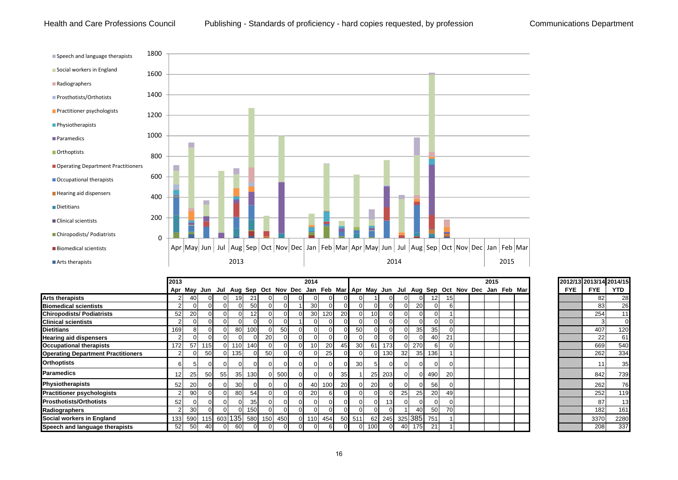#### Health and Care Professions Council Publishing - Standards of proficiency - hard copies requested, by profession Communications Department



|                                           | 2013             |                                                                                                 |           |                |                  |                         |           |       |          | 2014            |           |    |                 |     |     |                |     |             |                |  | 2015 |  | 2012/13 2013/14 2014/15 |            |      |
|-------------------------------------------|------------------|-------------------------------------------------------------------------------------------------|-----------|----------------|------------------|-------------------------|-----------|-------|----------|-----------------|-----------|----|-----------------|-----|-----|----------------|-----|-------------|----------------|--|------|--|-------------------------|------------|------|
|                                           |                  | Apr May Jun Jul Aug Sep Oct Nov Dec Jan Feb Mar Apr May Jun Jul Aug Sep Oct Nov Dec Jan Feb Mar |           |                |                  |                         |           |       |          |                 |           |    |                 |     |     |                |     |             |                |  |      |  | <b>FYE</b>              | <b>FYE</b> | YTD  |
| <b>Arts therapists</b>                    |                  | 40                                                                                              |           | 01             | 19               | -21                     |           |       |          | $\Omega$        |           |    |                 |     |     | $\Omega$       |     |             | 15             |  |      |  |                         | 82         | 28   |
| <b>Biomedical scientists</b>              |                  |                                                                                                 |           | $\Omega$       |                  | 50                      | οı        |       |          | 30 <sup>l</sup> |           |    | ΟI              |     |     | $\Omega$       | 20  |             | ы              |  |      |  |                         | 83         | 26   |
| <b>Chiropodists/Podiatrists</b>           | 52               | 20                                                                                              |           | $\Omega$       |                  |                         | οı        |       |          | 30              | 120       | 20 | ΩI              |     |     | $\Omega$       |     |             |                |  |      |  |                         | 254        | 11   |
| <b>Clinical scientists</b>                |                  |                                                                                                 |           | $\Omega$       |                  |                         |           |       |          | $\overline{0}$  |           |    | ΟI              |     |     | $\Omega$       |     |             |                |  |      |  |                         |            |      |
| <b>Dietitians</b>                         | 169              |                                                                                                 |           | $\Omega$       | 80               | 100                     | ΟI        | 50    |          | $\Omega$        |           |    | 50              |     |     | $\Omega$       | 35  | 35          | $\Omega$       |  |      |  |                         | 407        | 120  |
| <b>Hearing aid dispensers</b>             |                  |                                                                                                 |           |                |                  |                         | <b>20</b> |       |          | $\Omega$        |           |    |                 |     |     | $\Omega$       |     | 40          | 21             |  |      |  |                         | 22         | 61   |
| <b>Occupational therapists</b>            | 172              | 57                                                                                              | 115       | $\Omega$       | 110 <sup>1</sup> | 140                     | $\Omega$  |       |          | 10 <sup>1</sup> | <b>20</b> |    | 30 <sup>l</sup> | 61  | 173 | $\Omega$       | 270 |             | $\Omega$       |  |      |  |                         | 669        | 540  |
| <b>Operating Department Practitioners</b> |                  |                                                                                                 | <b>50</b> | $\overline{0}$ | 135              |                         | <b>50</b> |       |          | $\Omega$        | 25        |    | ΩI              |     | 130 | 32             | 35  | 136         |                |  |      |  |                         | 262        | 334  |
| <b>Orthoptists</b>                        | 61               |                                                                                                 |           |                |                  |                         | οı        |       | $\Omega$ | $\Omega$        |           |    | 30              |     |     | $\Omega$       |     |             | $\Omega$       |  |      |  |                         |            | 35   |
| <b>Paramedics</b>                         |                  | 25                                                                                              | 50        | 55             |                  | 35 130                  |           | 0 500 | $\Omega$ | $\Omega$        |           | 35 |                 | 25  | 203 | $\Omega$       |     | 490         | <b>20</b>      |  |      |  |                         | 842        | 739  |
| Physiotherapists                          | 52               | 20                                                                                              |           | $\Omega$       | 30               |                         | οı        |       | $\Omega$ | 40              | 100       | 20 | ΩI              | 20  |     | $\Omega$       |     | <b>561</b>  | $\Omega$       |  |      |  |                         | 262        | 76   |
| <b>Practitioner psychologists</b>         |                  | 90                                                                                              |           | $\Omega$       | 80               | 54                      | ΟI        |       |          | 20              |           |    | οı              |     |     | 25             | 25  | <b>20</b>   | 49             |  |      |  |                         | 252        | 119  |
| <b>Prosthotists/Orthotists</b>            | 52               |                                                                                                 |           | $\overline{0}$ |                  | 35                      | οι        |       | ΩI       | $\overline{0}$  |           |    | ΟI              |     | 13  | $\overline{0}$ |     |             | $\overline{0}$ |  |      |  |                         | 87         | 13   |
| Radiographers                             |                  | 30                                                                                              |           | $\Omega$       |                  | 150                     | $\Omega$  |       | $\Omega$ | $\overline{0}$  |           |    | οı              |     |     |                | 40  | 50          | 70             |  |      |  |                         | 182        | 161  |
| Social workers in England                 | 133 <sup>1</sup> |                                                                                                 |           |                |                  | 590 115 603 135 580 150 |           | 450   |          | 0 110           | 454       |    | 50 511          | 62  | 245 |                |     | 325 385 751 |                |  |      |  |                         | 3370       | 2280 |
| Speech and language therapists            | 52               | 50                                                                                              | 40        | $\Omega$       | 60               |                         |           |       |          | $\Omega$        |           |    | οı              | 100 |     | 40             | 175 | 21          |                |  |      |  |                         | 208        | 337  |

|            | 2012/13 2013/14 2014/15 |      |
|------------|-------------------------|------|
| <b>FYE</b> | FYE                     | YTD  |
|            | 82                      | 28   |
|            | 83                      | 26   |
|            | 254                     | 11   |
|            | 3                       | 0    |
|            | 407                     | 120  |
|            | 22                      | 61   |
|            | 669                     | 540  |
|            | 262                     | 334  |
|            | 11                      | 35   |
|            | 842                     | 739  |
|            | 262                     | 76   |
|            | 252                     | 119  |
|            | 87                      | 13   |
|            | 182                     | 161  |
|            | 3370                    | 2280 |
|            | 208                     | 337  |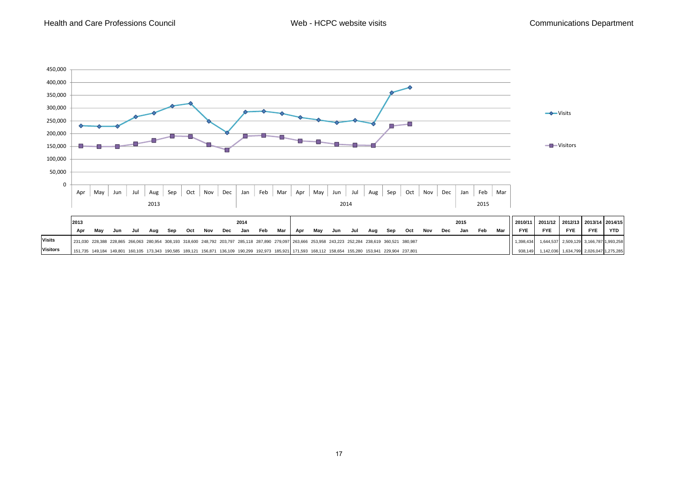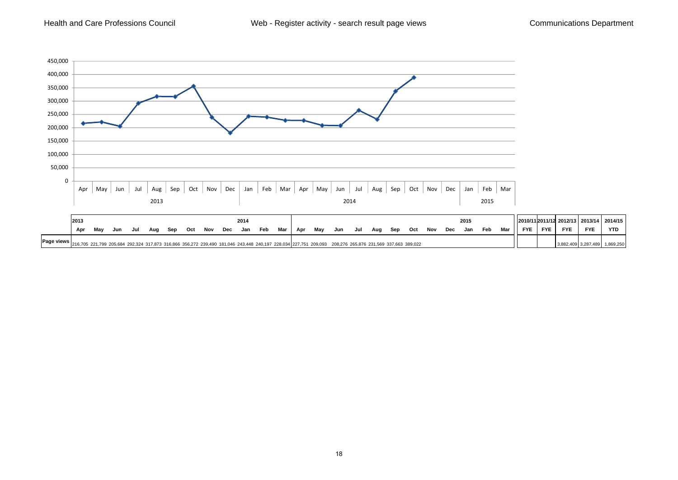Health and Care Professions Council



|                                | 2013 |    |     |     |                                                                                                                                                   |     |     |     |     | 2014 |     |     |     |     |     |     |     |     |     |     |     | 2015 |     |     |            |            |            | 2010/11 2011/12 2012/13   2013/14 | 2014/15    |
|--------------------------------|------|----|-----|-----|---------------------------------------------------------------------------------------------------------------------------------------------------|-----|-----|-----|-----|------|-----|-----|-----|-----|-----|-----|-----|-----|-----|-----|-----|------|-----|-----|------------|------------|------------|-----------------------------------|------------|
|                                | Apr  | Ma | Jun | Jul | Aua                                                                                                                                               | Sep | Oct | Nov | Dec | Jan  | Feb | Mar | Apr | Mav | Jun | Jul | Aua | Sen | Oct | Nov | Dec | Jan  | Feb | Mar | <b>FYE</b> | <b>FYE</b> | <b>FYE</b> | <b>FYE</b>                        | <b>YTD</b> |
| <b>Page views</b> $_{216,705}$ |      |    |     |     | 5 221.799 205.684 292.324 317.873 316.866 356.272 239.490 181.046 243.448 240.197 228.034 227.751 209.093 208.276 265.876 231.569 337.663 389.022 |     |     |     |     |      |     |     |     |     |     |     |     |     |     |     |     |      |     |     |            |            |            |                                   | .869.250   |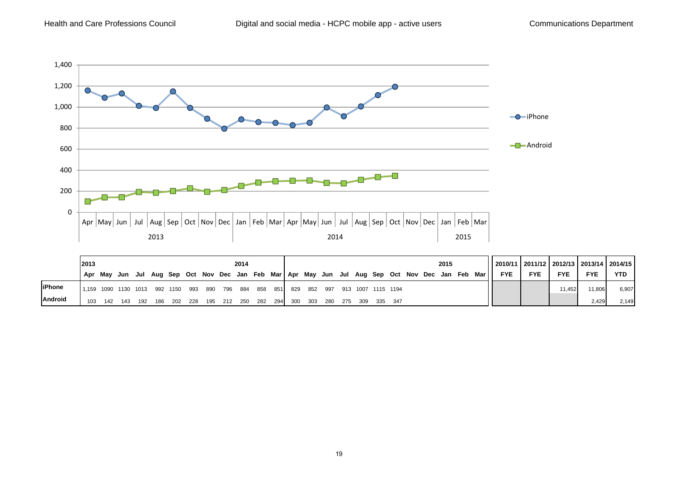

|                | 2013  |                |                                                                                       |          |     |          |     |     | 2014    |                         |     |     |     |                     |  |  | 2015 |         | 2010/11   2011/12   2012/13   2013/14   2014/15 |            |            |            |            |
|----------------|-------|----------------|---------------------------------------------------------------------------------------|----------|-----|----------|-----|-----|---------|-------------------------|-----|-----|-----|---------------------|--|--|------|---------|-------------------------------------------------|------------|------------|------------|------------|
|                |       | Apr Mav        | Jun Jul Aug Sep Oct Nov Dec Jan Feb Mar   Apr May Jun Jul Aug Sep Oct Nov Dec Jan Feb |          |     |          |     |     |         |                         |     |     |     |                     |  |  |      | Mar I I | <b>FYE</b>                                      | <b>FYE</b> | <b>FYE</b> | <b>FYE</b> | <b>YTD</b> |
| <b>liPhone</b> | 1.159 | 1090 1130 1013 |                                                                                       |          |     | 992 1150 | 993 | 890 | 796 884 | 858 851                 | 829 | 852 | 997 | 913 1007 1115 1194  |  |  |      |         |                                                 |            | 11.452     | 11,806     | 6,907      |
| <b>Android</b> | 103   | 142            |                                                                                       | 143  192 | 186 | 202      | 228 |     |         | 195 212 250 282 294 300 |     | 303 |     | 280 275 309 335 347 |  |  |      |         |                                                 |            |            | 2.429      | 2.149      |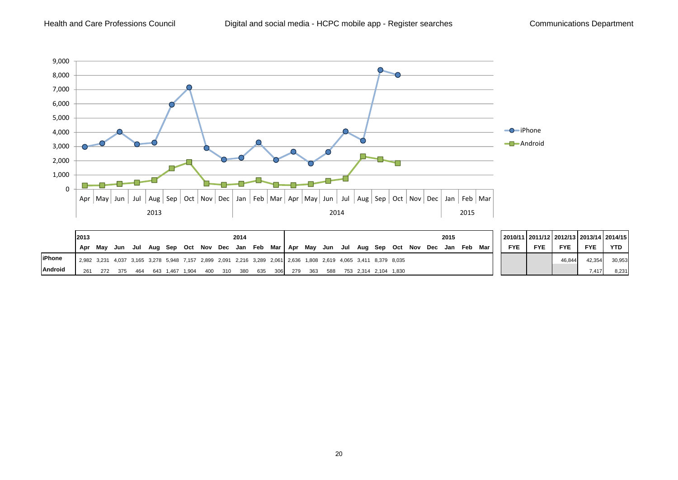

|                | 2013                                                                                                               |     |         |     |                 |     | 2014                                                                      |     |     |     |       |  |                           |  | 2015 |     |     |            |            |            |            | 2010/11   2011/12   2012/13   2013/14   2014/15 |
|----------------|--------------------------------------------------------------------------------------------------------------------|-----|---------|-----|-----------------|-----|---------------------------------------------------------------------------|-----|-----|-----|-------|--|---------------------------|--|------|-----|-----|------------|------------|------------|------------|-------------------------------------------------|
|                | Apr                                                                                                                | Mav | Jun Jul |     |                 |     | Aug Sep Oct Nov Dec Jan Feb Mar   Apr May Jun Jul Aug Sep Oct Nov Dec Jan |     |     |     |       |  |                           |  |      | Feb | Mar | <b>FYE</b> | <b>FYE</b> | <b>FYE</b> | <b>FYE</b> | <b>YTD</b>                                      |
| <b>liPhone</b> | 2,982 3,231 4,037 3,165 3,278 5,948 7,157 2,899 2,091 2,216 3,289 2,061  2,636 1,808 2,619 4,065 3,411 8,379 8,035 |     |         |     |                 |     |                                                                           |     |     |     |       |  |                           |  |      |     |     |            |            |            | 42.354     | 30,953                                          |
| <b>Android</b> | 261                                                                                                                | 272 | 375     | 464 | 643 1.467 1.904 | 400 | 310 380                                                                   | 635 | 306 | 279 | - 363 |  | 588 753 2,314 2,104 1,830 |  |      |     |     |            |            |            | 7.417      | 8,231                                           |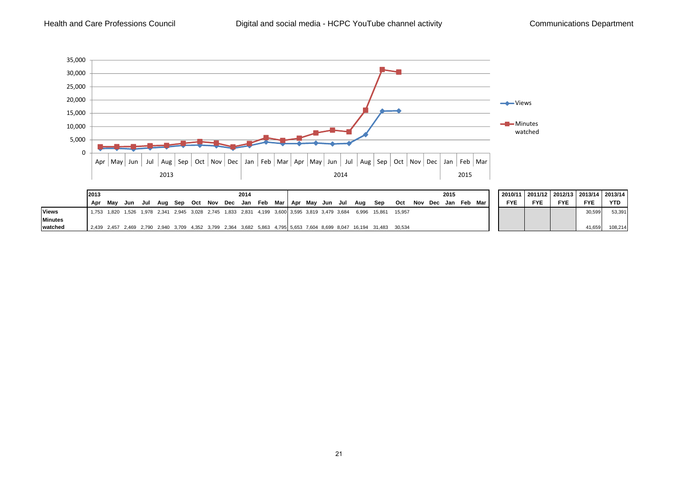

|                | 2013  |                                                                                           |     |  |  |  | 2014 |  |  |  |                                                         |                                                                                                                       |        |             | 2015 |         |  |            |            |            |            | 2010/11   2011/12   2012/13   2013/14   2013/14 |
|----------------|-------|-------------------------------------------------------------------------------------------|-----|--|--|--|------|--|--|--|---------------------------------------------------------|-----------------------------------------------------------------------------------------------------------------------|--------|-------------|------|---------|--|------------|------------|------------|------------|-------------------------------------------------|
|                | Apr   | Mav                                                                                       | Jun |  |  |  |      |  |  |  | Jul Aug Sep Oct Nov Dec Jan Feb Mar Apr May Jun Jul Aug | Sep                                                                                                                   | Oct    | Nov Dec Jan |      | Feb Mar |  | <b>FYE</b> | <b>FYE</b> | <b>FYE</b> | <b>FYE</b> | <b>YTD</b>                                      |
| <b>Views</b>   | 1.753 | 1,820 1,526 1,978 2,341 2,945 3,028 2,745 1,833 2,831 4,199 3,600 3,595 3,819 3,479 3,684 |     |  |  |  |      |  |  |  |                                                         | 6.996 15.861                                                                                                          | 15.957 |             |      |         |  |            |            |            | 30,599     | 53.391                                          |
| <b>Minutes</b> |       |                                                                                           |     |  |  |  |      |  |  |  |                                                         |                                                                                                                       |        |             |      |         |  |            |            |            |            |                                                 |
| watched        |       |                                                                                           |     |  |  |  |      |  |  |  |                                                         | 12,439 2,457 2,469 2,790 2,940 3,709 4,352 3,799 2,364 3,682 5,863 4,795 5,653 7,604 8,699 8,047 16,194 31,483 30,534 |        |             |      |         |  |            |            |            | 41,659     | 108.214                                         |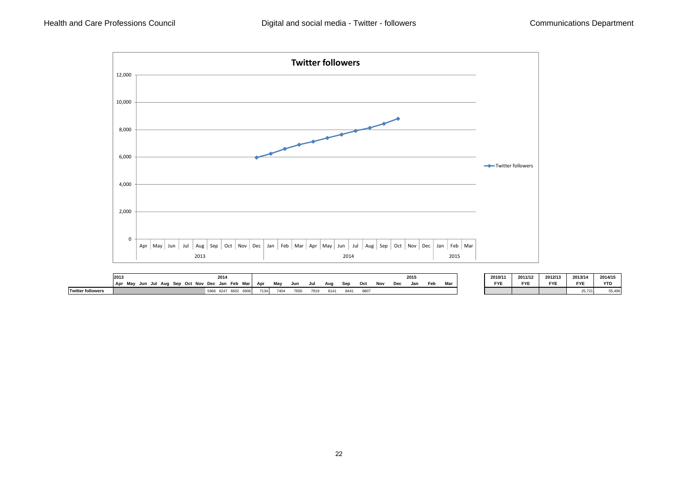

|                          | 2013<br>Mav<br>Oct<br>. Sep<br>Aua<br>l Apr<br>Jul | 2014<br>Jan Feb Mar<br>Nov Dec | Apr    | May  | Jun  | Jul  | Aug  | Sep  | Oct  | Nov | Dec | 201<br>Jar | Feb | Mar | 2010/11<br><b>FYE</b> | 2011/12<br><b>FYE</b> | 2012/13<br><b>FYE</b> | 2013/14<br><b>FYE</b> | 2014/15 |
|--------------------------|----------------------------------------------------|--------------------------------|--------|------|------|------|------|------|------|-----|-----|------------|-----|-----|-----------------------|-----------------------|-----------------------|-----------------------|---------|
| <b>Twitter followers</b> | ึงนเ                                               | cooc<br>5966<br>6247           | 74.341 | 7404 | 7650 | 7010 | 8141 | 8441 | 8807 |     |     |            |     |     |                       |                       |                       | 25,721                | 55,496  |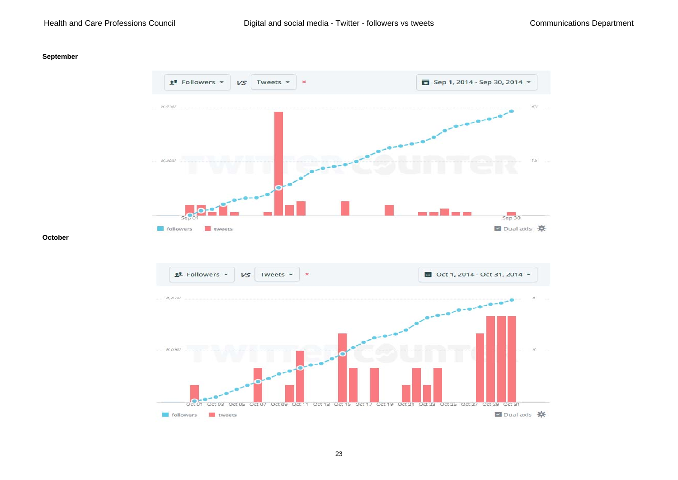#### Health and Care Professions Council

#### **September**



#### **October**